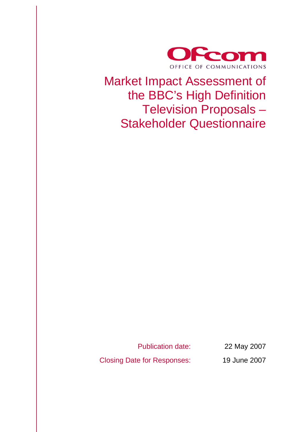

Market Impact Assessment of the BBC's High Definition Television Proposals – Stakeholder Questionnaire

Publication date: 22 May 2007

Closing Date for Responses: 19 June 2007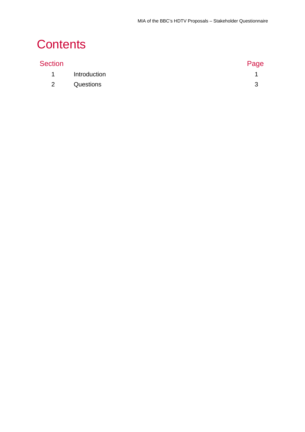# **Contents**

| <b>Section</b> |              | Page |
|----------------|--------------|------|
| $\mathbf 1$    | Introduction |      |
| $\mathcal{P}$  | Questions    |      |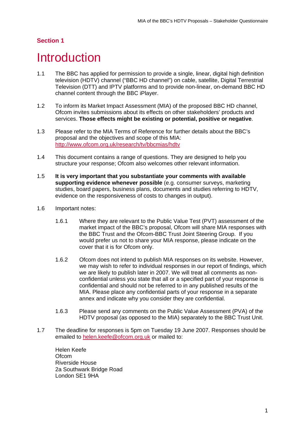## **Section 1**

# **Introduction**

- 1.1 The BBC has applied for permission to provide a single, linear, digital high definition television (HDTV) channel ("BBC HD channel") on cable, satellite, Digital Terrestrial Television (DTT) and IPTV platforms and to provide non-linear, on-demand BBC HD channel content through the BBC iPlayer.
- 1.2 To inform its Market Impact Assessment (MIA) of the proposed BBC HD channel, Ofcom invites submissions about its effects on other stakeholders' products and services. **Those effects might be existing or potential, positive or negative**.
- 1.3 Please refer to the MIA Terms of Reference for further details about the BBC's proposal and the objectives and scope of this MIA: <http://www.ofcom.org.uk/research/tv/bbcmias/hdtv>
- 1.4 This document contains a range of questions. They are designed to help you structure your response; Ofcom also welcomes other relevant information.
- 1.5 **It is very important that you substantiate your comments with available supporting evidence whenever possible** (e.g. consumer surveys, marketing studies, board papers, business plans, documents and studies referring to HDTV, evidence on the responsiveness of costs to changes in output).
- 1.6 Important notes:
	- 1.6.1 Where they are relevant to the Public Value Test (PVT) assessment of the market impact of the BBC's proposal, Ofcom will share MIA responses with the BBC Trust and the Ofcom-BBC Trust Joint Steering Group. If you would prefer us not to share your MIA response, please indicate on the cover that it is for Ofcom only.
	- 1.6.2 Ofcom does not intend to publish MIA responses on its website. However, we may wish to refer to individual responses in our report of findings, which we are likely to publish later in 2007. We will treat all comments as nonconfidential unless you state that all or a specified part of your response is confidential and should not be referred to in any published results of the MIA. Please place any confidential parts of your response in a separate annex and indicate why you consider they are confidential.
	- 1.6.3 Please send any comments on the Public Value Assessment (PVA) of the HDTV proposal (as opposed to the MIA) separately to the BBC Trust Unit.
- 1.7 The deadline for responses is 5pm on Tuesday 19 June 2007. Responses should be emailed to [helen.keefe@ofcom.org.uk](mailto:helen.keefe@ofcom.org.uk) or mailed to:

Helen Keefe **Ofcom** Riverside House 2a Southwark Bridge Road London SE1 9HA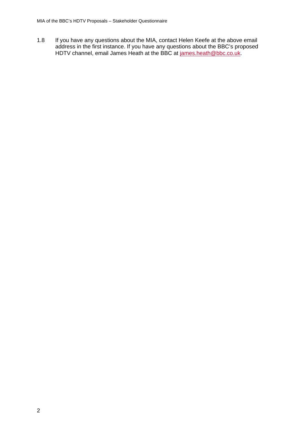1.8 If you have any questions about the MIA, contact Helen Keefe at the above email address in the first instance. If you have any questions about the BBC's proposed HDTV channel, email James Heath at the BBC at [james.heath@bbc.co.uk](mailto:james.heath@bbc.co.uk).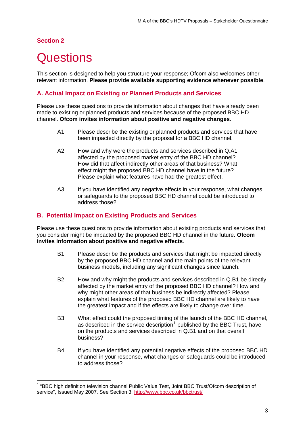## **Section 2**

1

# **Questions**

This section is designed to help you structure your response; Ofcom also welcomes other relevant information. **Please provide available supporting evidence whenever possible**.

#### **A. Actual Impact on Existing or Planned Products and Services**

Please use these questions to provide information about changes that have already been made to existing or planned products and services because of the proposed BBC HD channel. **Ofcom invites information about positive and negative changes**.

- A1. Please describe the existing or planned products and services that have been impacted directly by the proposal for a BBC HD channel.
- A2. How and why were the products and services described in Q.A1 affected by the proposed market entry of the BBC HD channel? How did that affect indirectly other areas of that business? What effect might the proposed BBC HD channel have in the future? Please explain what features have had the greatest effect.
- A3. If you have identified any negative effects in your response, what changes or safeguards to the proposed BBC HD channel could be introduced to address those?

#### **B. Potential Impact on Existing Products and Services**

Please use these questions to provide information about existing products and services that you consider might be impacted by the proposed BBC HD channel in the future. **Ofcom invites information about positive and negative effects**.

- B1. Please describe the products and services that might be impacted directly by the proposed BBC HD channel and the main points of the relevant business models, including any significant changes since launch.
- B2. How and why might the products and services described in Q.B1 be directly affected by the market entry of the proposed BBC HD channel? How and why might other areas of that business be indirectly affected? Please explain what features of the proposed BBC HD channel are likely to have the greatest impact and if the effects are likely to change over time.
- B3. What effect could the proposed timing of the launch of the BBC HD channel, as described in the service description<sup>[1](#page-5-0)</sup> published by the BBC Trust, have on the products and services described in Q.B1 and on that overall business?
	- B4. If you have identified any potential negative effects of the proposed BBC HD channel in your response, what changes or safeguards could be introduced to address those?

<span id="page-5-0"></span><sup>&</sup>lt;sup>1</sup> "BBC high definition television channel Public Value Test, Joint BBC Trust/Ofcom description of service", Issued May 2007. See Section 3.<http://www.bbc.co.uk/bbctrust/>